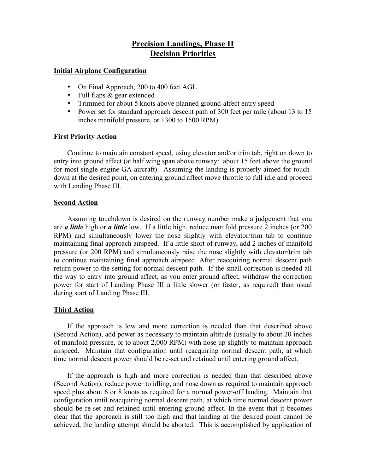# **Precision Landings, Phase II Decision Priorities**

#### **Initial Airplane Configuration**

- On Final Approach, 200 to 400 feet AGL
- Full flaps & gear extended
- Trimmed for about 5 knots above planned ground-affect entry speed<br>• Power set for standard approach descent path of 300 feet per mile (ab
- Power set for standard approach descent path of 300 feet per mile (about 13 to 15 inches manifold pressure, or 1300 to 1500 RPM)

# **First Priority Action**

Continue to maintain constant speed, using elevator and/or trim tab, right on down to entry into ground affect (at half wing span above runway: about 15 feet above the ground for most single engine GA aircraft). Assuming the landing is properly aimed for touchdown at the desired point, on entering ground affect move throttle to full idle and proceed with Landing Phase III.

# **Second Action**

Assuming touchdown is desired on the runway number make a judgement that you are *a little* high or *a little* low. If a little high, reduce manifold pressure 2 inches (or 200 RPM) and simultaneously lower the nose slightly with elevator/trim tab to continue maintaining final approach airspeed. If a little short of runway, add 2 inches of manifold pressure (or 200 RPM) and simultaneously raise the nose slightly with elevator/trim tab to continue maintaining final approach airspeed. After reacquiring normal descent path return power to the setting for normal descent path. If the small correction is needed all the way to entry into ground affect, as you enter ground affect, withdraw the correction power for start of Landing Phase III a little slower (or faster, as required) than usual during start of Landing Phase III.

# **Third Action**

If the approach is low and more correction is needed than that described above (Second Action), add power as necessary to maintain altitude (usually to about 20 inches of manifold pressure, or to about 2,000 RPM) with nose up slightly to maintain approach airspeed. Maintain that configuration until reacquiring normal descent path, at which time normal descent power should be re-set and retained until entering ground affect.

If the approach is high and more correction is needed than that described above (Second Action), reduce power to idling, and nose down as required to maintain approach speed plus about 6 or 8 knots as required for a normal power-off landing. Maintain that configuration until reacquiring normal descent path, at which time normal descent power should be re-set and retained until entering ground affect. In the event that it becomes clear that the approach is still too high and that landing at the desired point cannot be achieved, the landing attempt should be aborted. This is accomplished by application of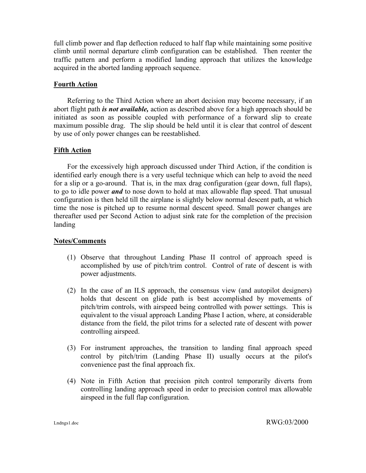full climb power and flap deflection reduced to half flap while maintaining some positive climb until normal departure climb configuration can be established. Then reenter the traffic pattern and perform a modified landing approach that utilizes the knowledge acquired in the aborted landing approach sequence.

# **Fourth Action**

Referring to the Third Action where an abort decision may become necessary, if an abort flight path *is not available,* action as described above for a high approach should be initiated as soon as possible coupled with performance of a forward slip to create maximum possible drag. The slip should be held until it is clear that control of descent by use of only power changes can be reestablished.

# **Fifth Action**

For the excessively high approach discussed under Third Action, if the condition is identified early enough there is a very useful technique which can help to avoid the need for a slip or a go-around. That is, in the max drag configuration (gear down, full flaps), to go to idle power *and* to nose down to hold at max allowable flap speed. That unusual configuration is then held till the airplane is slightly below normal descent path, at which time the nose is pitched up to resume normal descent speed. Small power changes are thereafter used per Second Action to adjust sink rate for the completion of the precision landing

#### **Notes/Comments**

- (1) Observe that throughout Landing Phase II control of approach speed is accomplished by use of pitch/trim control. Control of rate of descent is with power adjustments.
- (2) In the case of an ILS approach, the consensus view (and autopilot designers) holds that descent on glide path is best accomplished by movements of pitch/trim controls, with airspeed being controlled with power settings. This is equivalent to the visual approach Landing Phase I action, where, at considerable distance from the field, the pilot trims for a selected rate of descent with power controlling airspeed.
- (3) For instrument approaches, the transition to landing final approach speed control by pitch/trim (Landing Phase II) usually occurs at the pilot's convenience past the final approach fix.
- (4) Note in Fifth Action that precision pitch control temporarily diverts from controlling landing approach speed in order to precision control max allowable airspeed in the full flap configuration.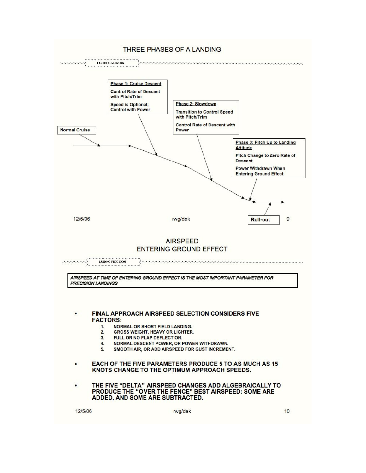#### THREE PHASES OF A LANDING



12/5/06

rwg/dek